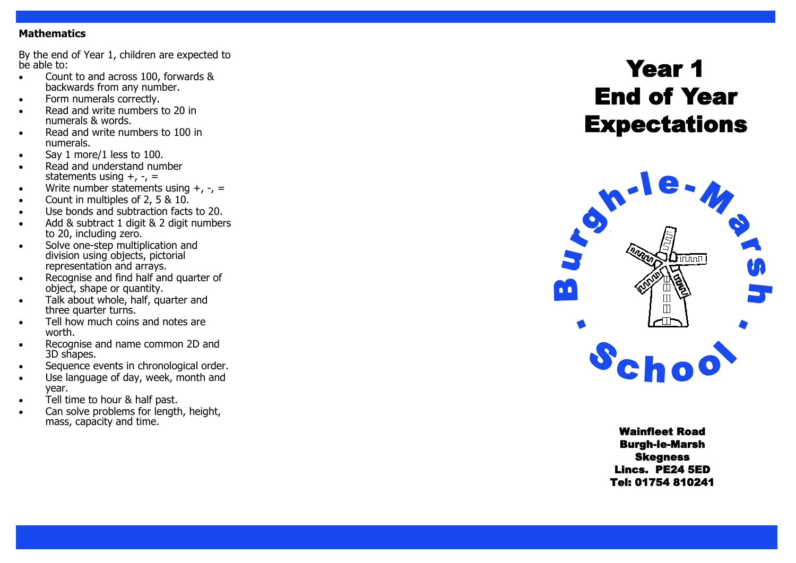### **Mathematics**

By the end of Year 1, children are expected to be able to:

- Count to and across 100, forwards & backwards from any number.
- Form numerals correctly.
- Read and write numbers to 20 in numerals & words.
- Read and write numbers to 100 in numerals.
- Say 1 more/1 less to 100.
- Read and understand number statements using +, -, =
- Write number statements using +, -, =
- Count in multiples of 2, 5 & 10.
- Use bonds and subtraction facts to 20.
- Add & subtract 1 digit & 2 digit numbers to 20, including zero.
- Solve one-step multiplication and division using objects, pictorial representation and arrays.
- Recognise and find half and quarter of object, shape or quantity.
- Talk about whole, half, quarter and three quarter turns.
- Tell how much coins and notes are worth.
- Recognise and name common 2D and 3D shapes.
- Sequence events in chronological order.
- Use language of day, week, month and year.
- Tell time to hour & half past.
- Can solve problems for length, height, mass, capacity and time.

# Year 1 End of Year **Expectations**



Wainfleet Road Burgh -le -Marsh Skegness Lincs. PE24 5ED Tel: 01754 810241